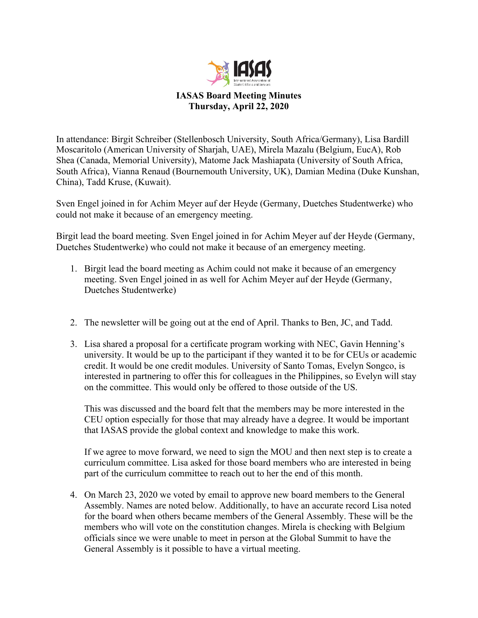

## **IASAS Board Meeting Minutes Thursday, April 22, 2020**

In attendance: Birgit Schreiber (Stellenbosch University, South Africa/Germany), Lisa Bardill Moscaritolo (American University of Sharjah, UAE), Mirela Mazalu (Belgium, EucA), Rob Shea (Canada, Memorial University), Matome Jack Mashiapata (University of South Africa, South Africa), Vianna Renaud (Bournemouth University, UK), Damian Medina (Duke Kunshan, China), Tadd Kruse, (Kuwait).

Sven Engel joined in for Achim Meyer auf der Heyde (Germany, Duetches Studentwerke) who could not make it because of an emergency meeting.

Birgit lead the board meeting. Sven Engel joined in for Achim Meyer auf der Heyde (Germany, Duetches Studentwerke) who could not make it because of an emergency meeting.

- 1. Birgit lead the board meeting as Achim could not make it because of an emergency meeting. Sven Engel joined in as well for Achim Meyer auf der Heyde (Germany, Duetches Studentwerke)
- 2. The newsletter will be going out at the end of April. Thanks to Ben, JC, and Tadd.
- 3. Lisa shared a proposal for a certificate program working with NEC, Gavin Henning's university. It would be up to the participant if they wanted it to be for CEUs or academic credit. It would be one credit modules. University of Santo Tomas, Evelyn Songco, is interested in partnering to offer this for colleagues in the Philippines, so Evelyn will stay on the committee. This would only be offered to those outside of the US.

This was discussed and the board felt that the members may be more interested in the CEU option especially for those that may already have a degree. It would be important that IASAS provide the global context and knowledge to make this work.

If we agree to move forward, we need to sign the MOU and then next step is to create a curriculum committee. Lisa asked for those board members who are interested in being part of the curriculum committee to reach out to her the end of this month.

4. On March 23, 2020 we voted by email to approve new board members to the General Assembly. Names are noted below. Additionally, to have an accurate record Lisa noted for the board when others became members of the General Assembly. These will be the members who will vote on the constitution changes. Mirela is checking with Belgium officials since we were unable to meet in person at the Global Summit to have the General Assembly is it possible to have a virtual meeting.